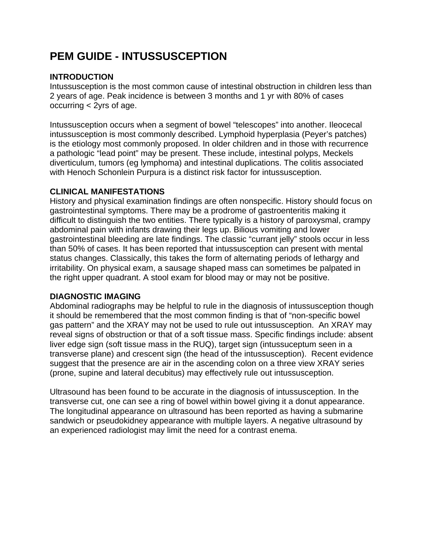# **PEM GUIDE - INTUSSUSCEPTION**

## **INTRODUCTION**

Intussusception is the most common cause of intestinal obstruction in children less than 2 years of age. Peak incidence is between 3 months and 1 yr with 80% of cases occurring < 2yrs of age.

Intussusception occurs when a segment of bowel "telescopes" into another. Ileocecal intussusception is most commonly described. Lymphoid hyperplasia (Peyer's patches) is the etiology most commonly proposed. In older children and in those with recurrence a pathologic "lead point" may be present. These include, intestinal polyps, Meckels diverticulum, tumors (eg lymphoma) and intestinal duplications. The colitis associated with Henoch Schonlein Purpura is a distinct risk factor for intussusception.

### **CLINICAL MANIFESTATIONS**

History and physical examination findings are often nonspecific. History should focus on gastrointestinal symptoms. There may be a prodrome of gastroenteritis making it difficult to distinguish the two entities. There typically is a history of paroxysmal, crampy abdominal pain with infants drawing their legs up. Bilious vomiting and lower gastrointestinal bleeding are late findings. The classic "currant jelly" stools occur in less than 50% of cases. It has been reported that intussusception can present with mental status changes. Classically, this takes the form of alternating periods of lethargy and irritability. On physical exam, a sausage shaped mass can sometimes be palpated in the right upper quadrant. A stool exam for blood may or may not be positive.

### **DIAGNOSTIC IMAGING**

Abdominal radiographs may be helpful to rule in the diagnosis of intussusception though it should be remembered that the most common finding is that of "non-specific bowel gas pattern" and the XRAY may not be used to rule out intussusception. An XRAY may reveal signs of obstruction or that of a soft tissue mass. Specific findings include: absent liver edge sign (soft tissue mass in the RUQ), target sign (intussuceptum seen in a transverse plane) and crescent sign (the head of the intussusception). Recent evidence suggest that the presence are air in the ascending colon on a three view XRAY series (prone, supine and lateral decubitus) may effectively rule out intussusception.

Ultrasound has been found to be accurate in the diagnosis of intussusception. In the transverse cut, one can see a ring of bowel within bowel giving it a donut appearance. The longitudinal appearance on ultrasound has been reported as having a submarine sandwich or pseudokidney appearance with multiple layers. A negative ultrasound by an experienced radiologist may limit the need for a contrast enema.